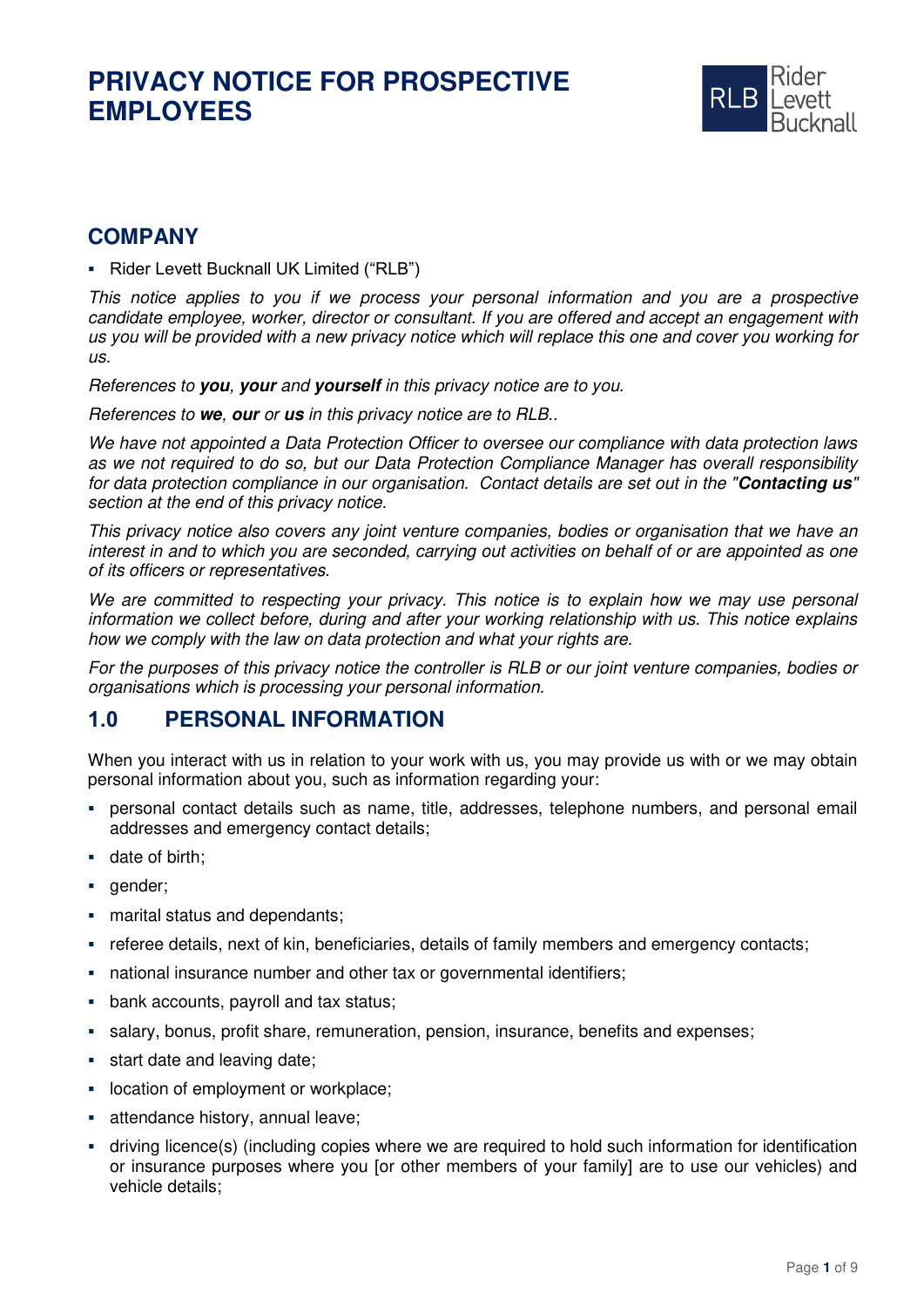

### **COMPANY**

▪ Rider Levett Bucknall UK Limited ("RLB")

This notice applies to you if we process your personal information and you are a prospective candidate employee, worker, director or consultant. If you are offered and accept an engagement with us you will be provided with a new privacy notice which will replace this one and cover you working for us.

References to **you**, **your** and **yourself** in this privacy notice are to you.

References to **we**, **our** or **us** in this privacy notice are to RLB..

We have not appointed a Data Protection Officer to oversee our compliance with data protection laws as we not required to do so, but our Data Protection Compliance Manager has overall responsibility for data protection compliance in our organisation. Contact details are set out in the "**Contacting us**" section at the end of this privacy notice.

This privacy notice also covers any joint venture companies, bodies or organisation that we have an interest in and to which you are seconded, carrying out activities on behalf of or are appointed as one of its officers or representatives.

We are committed to respecting your privacy. This notice is to explain how we may use personal information we collect before, during and after your working relationship with us. This notice explains how we comply with the law on data protection and what your rights are.

For the purposes of this privacy notice the controller is RLB or our joint venture companies, bodies or organisations which is processing your personal information.

#### **1.0 PERSONAL INFORMATION**

When you interact with us in relation to your work with us, you may provide us with or we may obtain personal information about you, such as information regarding your:

- personal contact details such as name, title, addresses, telephone numbers, and personal email addresses and emergency contact details;
- date of birth;
- gender;
- marital status and dependants;
- referee details, next of kin, beneficiaries, details of family members and emergency contacts;
- national insurance number and other tax or governmental identifiers;
- bank accounts, payroll and tax status;
- salary, bonus, profit share, remuneration, pension, insurance, benefits and expenses;
- **•** start date and leaving date;
- location of employment or workplace;
- **EXEC** attendance history, annual leave;
- driving licence(s) (including copies where we are required to hold such information for identification or insurance purposes where you [or other members of your family] are to use our vehicles) and vehicle details;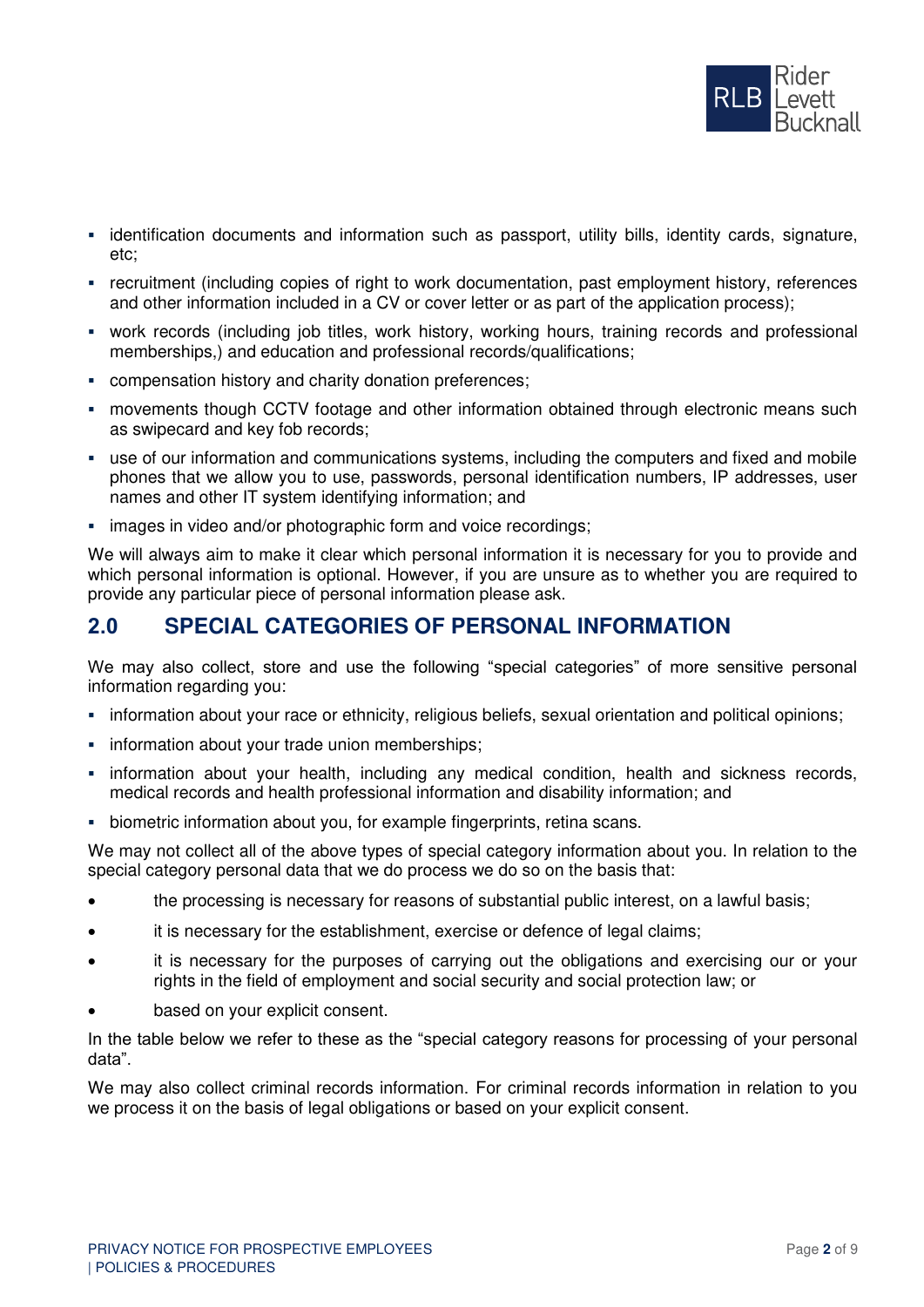

- **•** identification documents and information such as passport, utility bills, identity cards, signature, etc;
- recruitment (including copies of right to work documentation, past employment history, references and other information included in a CV or cover letter or as part of the application process);
- work records (including job titles, work history, working hours, training records and professional memberships,) and education and professional records/qualifications;
- compensation history and charity donation preferences;
- movements though CCTV footage and other information obtained through electronic means such as swipecard and key fob records;
- use of our information and communications systems, including the computers and fixed and mobile phones that we allow you to use, passwords, personal identification numbers, IP addresses, user names and other IT system identifying information; and
- **EXECT:** images in video and/or photographic form and voice recordings;

We will always aim to make it clear which personal information it is necessary for you to provide and which personal information is optional. However, if you are unsure as to whether you are required to provide any particular piece of personal information please ask.

#### **2.0 SPECIAL CATEGORIES OF PERSONAL INFORMATION**

We may also collect, store and use the following "special categories" of more sensitive personal information regarding you:

- information about your race or ethnicity, religious beliefs, sexual orientation and political opinions;
- **•** information about your trade union memberships;
- **·** information about your health, including any medical condition, health and sickness records, medical records and health professional information and disability information; and
- **EXEDENT** biometric information about you, for example fingerprints, retina scans.

We may not collect all of the above types of special category information about you. In relation to the special category personal data that we do process we do so on the basis that:

- the processing is necessary for reasons of substantial public interest, on a lawful basis;
- it is necessary for the establishment, exercise or defence of legal claims;
- it is necessary for the purposes of carrying out the obligations and exercising our or your rights in the field of employment and social security and social protection law; or
- based on your explicit consent.

In the table below we refer to these as the "special category reasons for processing of your personal data".

We may also collect criminal records information. For criminal records information in relation to you we process it on the basis of legal obligations or based on your explicit consent.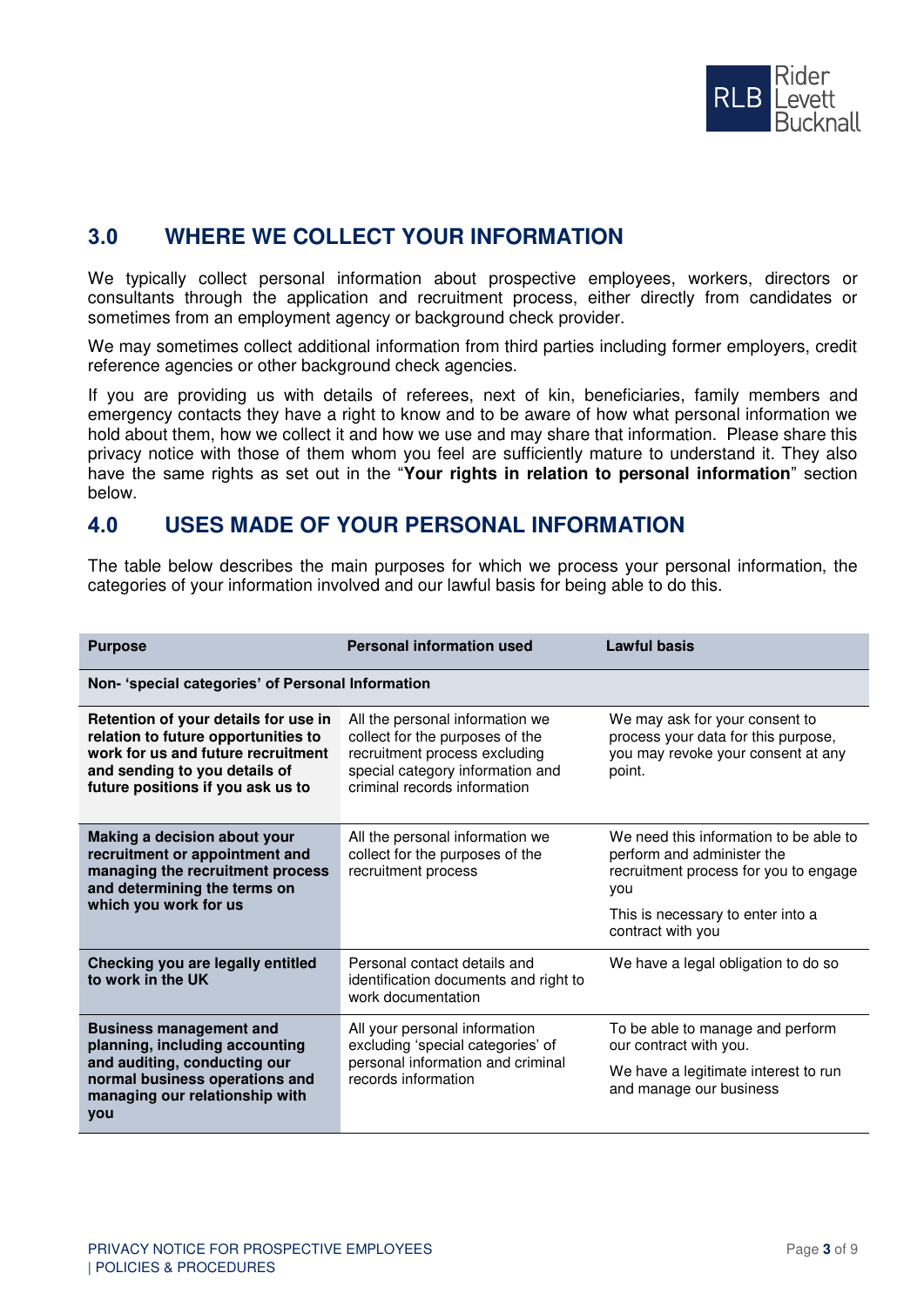

# **3.0 WHERE WE COLLECT YOUR INFORMATION**

We typically collect personal information about prospective employees, workers, directors or consultants through the application and recruitment process, either directly from candidates or sometimes from an employment agency or background check provider.

We may sometimes collect additional information from third parties including former employers, credit reference agencies or other background check agencies.

If you are providing us with details of referees, next of kin, beneficiaries, family members and emergency contacts they have a right to know and to be aware of how what personal information we hold about them, how we collect it and how we use and may share that information. Please share this privacy notice with those of them whom you feel are sufficiently mature to understand it. They also have the same rights as set out in the "**Your rights in relation to personal information**" section below.

#### **4.0 USES MADE OF YOUR PERSONAL INFORMATION**

The table below describes the main purposes for which we process your personal information, the categories of your information involved and our lawful basis for being able to do this.

| <b>Purpose</b>                                                                                                                                                                          | <b>Personal information used</b>                                                                                                                                        | <b>Lawful basis</b>                                                                                                   |  |  |  |
|-----------------------------------------------------------------------------------------------------------------------------------------------------------------------------------------|-------------------------------------------------------------------------------------------------------------------------------------------------------------------------|-----------------------------------------------------------------------------------------------------------------------|--|--|--|
| Non- 'special categories' of Personal Information                                                                                                                                       |                                                                                                                                                                         |                                                                                                                       |  |  |  |
| Retention of your details for use in<br>relation to future opportunities to<br>work for us and future recruitment<br>and sending to you details of<br>future positions if you ask us to | All the personal information we<br>collect for the purposes of the<br>recruitment process excluding<br>special category information and<br>criminal records information | We may ask for your consent to<br>process your data for this purpose,<br>you may revoke your consent at any<br>point. |  |  |  |
| Making a decision about your<br>recruitment or appointment and<br>managing the recruitment process<br>and determining the terms on<br>which you work for us                             | All the personal information we<br>collect for the purposes of the<br>recruitment process                                                                               | We need this information to be able to<br>perform and administer the<br>recruitment process for you to engage<br>vou  |  |  |  |
|                                                                                                                                                                                         |                                                                                                                                                                         | This is necessary to enter into a<br>contract with you                                                                |  |  |  |
| Checking you are legally entitled<br>to work in the UK                                                                                                                                  | Personal contact details and<br>identification documents and right to<br>work documentation                                                                             | We have a legal obligation to do so                                                                                   |  |  |  |
| <b>Business management and</b><br>planning, including accounting<br>and auditing, conducting our<br>normal business operations and<br>managing our relationship with<br><b>VOU</b>      | All your personal information<br>excluding 'special categories' of<br>personal information and criminal<br>records information                                          | To be able to manage and perform<br>our contract with you.                                                            |  |  |  |
|                                                                                                                                                                                         |                                                                                                                                                                         | We have a legitimate interest to run<br>and manage our business                                                       |  |  |  |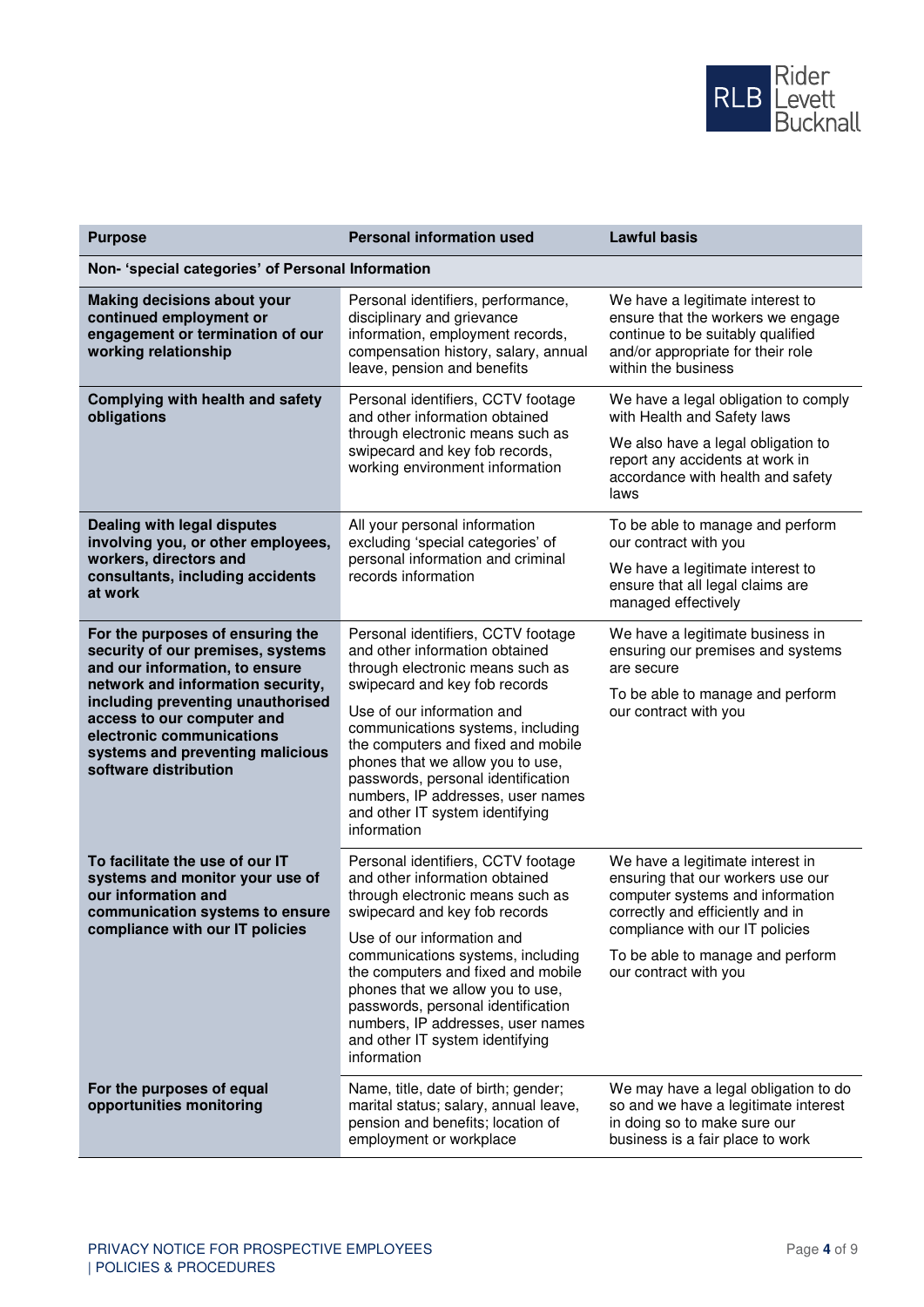

| <b>Purpose</b>                                                                                                                                                                                                                                                                                            | <b>Personal information used</b><br><b>Lawful basis</b>                                                                                                                                                                                                                                                                                                                                                             |                                                                                                                                                                                                                                               |  |  |
|-----------------------------------------------------------------------------------------------------------------------------------------------------------------------------------------------------------------------------------------------------------------------------------------------------------|---------------------------------------------------------------------------------------------------------------------------------------------------------------------------------------------------------------------------------------------------------------------------------------------------------------------------------------------------------------------------------------------------------------------|-----------------------------------------------------------------------------------------------------------------------------------------------------------------------------------------------------------------------------------------------|--|--|
| Non- 'special categories' of Personal Information                                                                                                                                                                                                                                                         |                                                                                                                                                                                                                                                                                                                                                                                                                     |                                                                                                                                                                                                                                               |  |  |
| <b>Making decisions about your</b><br>continued employment or<br>engagement or termination of our<br>working relationship                                                                                                                                                                                 | Personal identifiers, performance,<br>disciplinary and grievance<br>information, employment records,<br>compensation history, salary, annual<br>leave, pension and benefits                                                                                                                                                                                                                                         | We have a legitimate interest to<br>ensure that the workers we engage<br>continue to be suitably qualified<br>and/or appropriate for their role<br>within the business                                                                        |  |  |
| Complying with health and safety<br>obligations                                                                                                                                                                                                                                                           | Personal identifiers, CCTV footage<br>and other information obtained<br>through electronic means such as<br>swipecard and key fob records,<br>working environment information                                                                                                                                                                                                                                       | We have a legal obligation to comply<br>with Health and Safety laws<br>We also have a legal obligation to<br>report any accidents at work in<br>accordance with health and safety<br>laws                                                     |  |  |
| Dealing with legal disputes<br>involving you, or other employees,<br>workers, directors and<br>consultants, including accidents<br>at work                                                                                                                                                                | All your personal information<br>excluding 'special categories' of<br>personal information and criminal<br>records information                                                                                                                                                                                                                                                                                      | To be able to manage and perform<br>our contract with you<br>We have a legitimate interest to<br>ensure that all legal claims are<br>managed effectively                                                                                      |  |  |
| For the purposes of ensuring the<br>security of our premises, systems<br>and our information, to ensure<br>network and information security,<br>including preventing unauthorised<br>access to our computer and<br>electronic communications<br>systems and preventing malicious<br>software distribution | Personal identifiers, CCTV footage<br>and other information obtained<br>through electronic means such as<br>swipecard and key fob records<br>Use of our information and<br>communications systems, including<br>the computers and fixed and mobile<br>phones that we allow you to use,<br>passwords, personal identification<br>numbers, IP addresses, user names<br>and other IT system identifying<br>information | We have a legitimate business in<br>ensuring our premises and systems<br>are secure<br>To be able to manage and perform<br>our contract with you                                                                                              |  |  |
| To facilitate the use of our IT<br>systems and monitor your use of<br>our information and<br>communication systems to ensure<br>compliance with our IT policies                                                                                                                                           | Personal identifiers, CCTV footage<br>and other information obtained<br>through electronic means such as<br>swipecard and key fob records<br>Use of our information and<br>communications systems, including<br>the computers and fixed and mobile<br>phones that we allow you to use,<br>passwords, personal identification<br>numbers, IP addresses, user names<br>and other IT system identifying<br>information | We have a legitimate interest in<br>ensuring that our workers use our<br>computer systems and information<br>correctly and efficiently and in<br>compliance with our IT policies<br>To be able to manage and perform<br>our contract with you |  |  |
| For the purposes of equal<br>opportunities monitoring                                                                                                                                                                                                                                                     | Name, title, date of birth; gender;<br>marital status; salary, annual leave,<br>pension and benefits; location of<br>employment or workplace                                                                                                                                                                                                                                                                        | We may have a legal obligation to do<br>so and we have a legitimate interest<br>in doing so to make sure our<br>business is a fair place to work                                                                                              |  |  |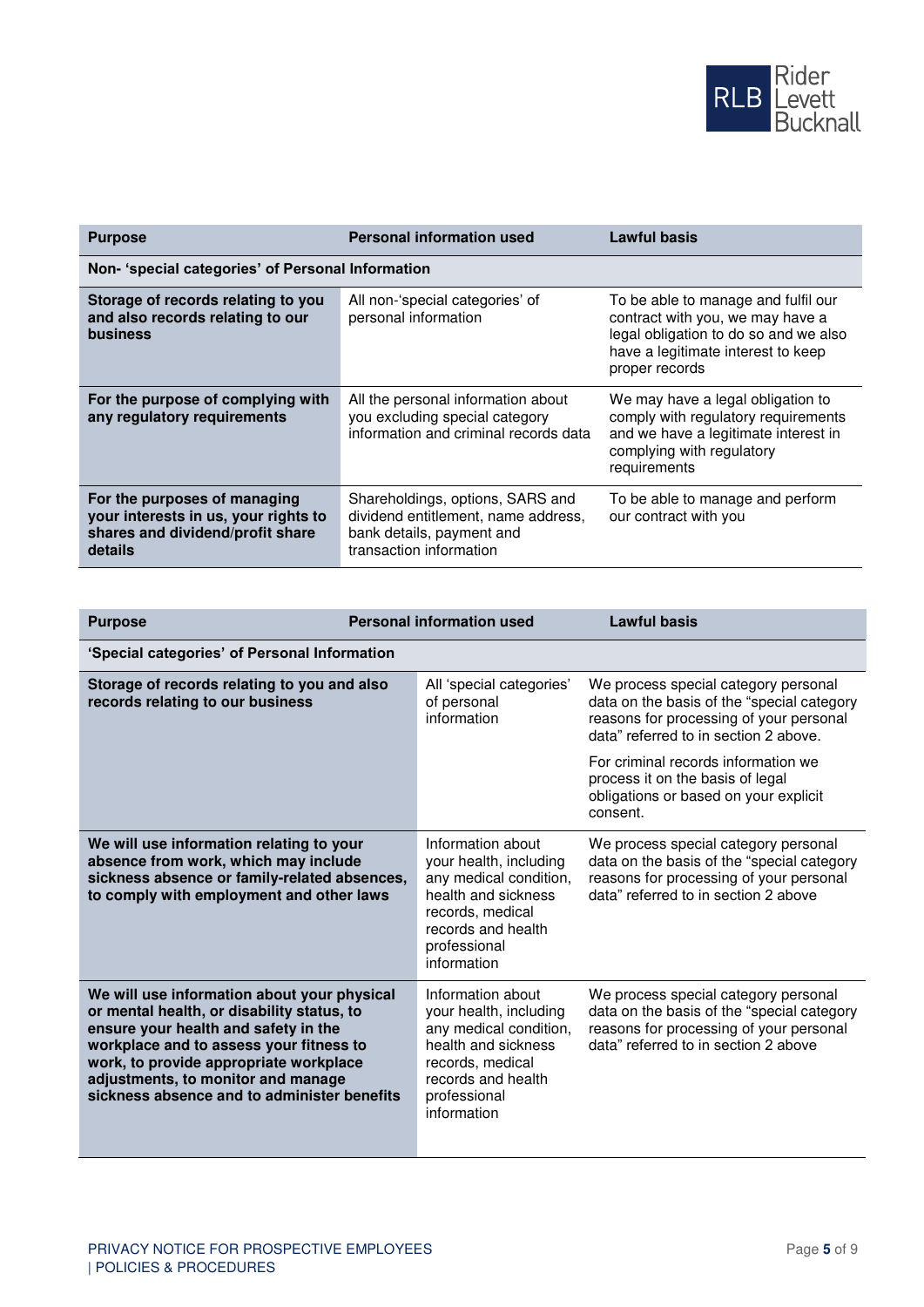

| <b>Purpose</b>                                                                                                      | <b>Personal information used</b>                                                                                                | <b>Lawful basis</b>                                                                                                                                                      |  |  |
|---------------------------------------------------------------------------------------------------------------------|---------------------------------------------------------------------------------------------------------------------------------|--------------------------------------------------------------------------------------------------------------------------------------------------------------------------|--|--|
| Non- 'special categories' of Personal Information                                                                   |                                                                                                                                 |                                                                                                                                                                          |  |  |
| Storage of records relating to you<br>and also records relating to our<br>business                                  | All non-'special categories' of<br>personal information                                                                         | To be able to manage and fulfil our<br>contract with you, we may have a<br>legal obligation to do so and we also<br>have a legitimate interest to keep<br>proper records |  |  |
| For the purpose of complying with<br>any regulatory requirements                                                    | All the personal information about<br>you excluding special category<br>information and criminal records data                   | We may have a legal obligation to<br>comply with regulatory requirements<br>and we have a legitimate interest in<br>complying with regulatory<br>requirements            |  |  |
| For the purposes of managing<br>your interests in us, your rights to<br>shares and dividend/profit share<br>details | Shareholdings, options, SARS and<br>dividend entitlement, name address,<br>bank details, payment and<br>transaction information | To be able to manage and perform<br>our contract with you                                                                                                                |  |  |

| <b>Purpose</b>                                                                                                                                                                                                                                                                                              | <b>Personal information used</b> |                                                                                                                                                                       | <b>Lawful basis</b>                                                                                                                                                    |  |  |
|-------------------------------------------------------------------------------------------------------------------------------------------------------------------------------------------------------------------------------------------------------------------------------------------------------------|----------------------------------|-----------------------------------------------------------------------------------------------------------------------------------------------------------------------|------------------------------------------------------------------------------------------------------------------------------------------------------------------------|--|--|
| 'Special categories' of Personal Information                                                                                                                                                                                                                                                                |                                  |                                                                                                                                                                       |                                                                                                                                                                        |  |  |
| Storage of records relating to you and also<br>records relating to our business                                                                                                                                                                                                                             |                                  | All 'special categories'<br>of personal<br>information                                                                                                                | We process special category personal<br>data on the basis of the "special category<br>reasons for processing of your personal<br>data" referred to in section 2 above. |  |  |
|                                                                                                                                                                                                                                                                                                             |                                  |                                                                                                                                                                       | For criminal records information we<br>process it on the basis of legal<br>obligations or based on your explicit<br>consent.                                           |  |  |
| We will use information relating to your<br>absence from work, which may include<br>sickness absence or family-related absences,<br>to comply with employment and other laws                                                                                                                                |                                  | Information about<br>your health, including<br>any medical condition,<br>health and sickness<br>records, medical<br>records and health<br>professional<br>information | We process special category personal<br>data on the basis of the "special category<br>reasons for processing of your personal<br>data" referred to in section 2 above  |  |  |
| We will use information about your physical<br>or mental health, or disability status, to<br>ensure your health and safety in the<br>workplace and to assess your fitness to<br>work, to provide appropriate workplace<br>adjustments, to monitor and manage<br>sickness absence and to administer benefits |                                  | Information about<br>your health, including<br>any medical condition,<br>health and sickness<br>records, medical<br>records and health<br>professional<br>information | We process special category personal<br>data on the basis of the "special category<br>reasons for processing of your personal<br>data" referred to in section 2 above  |  |  |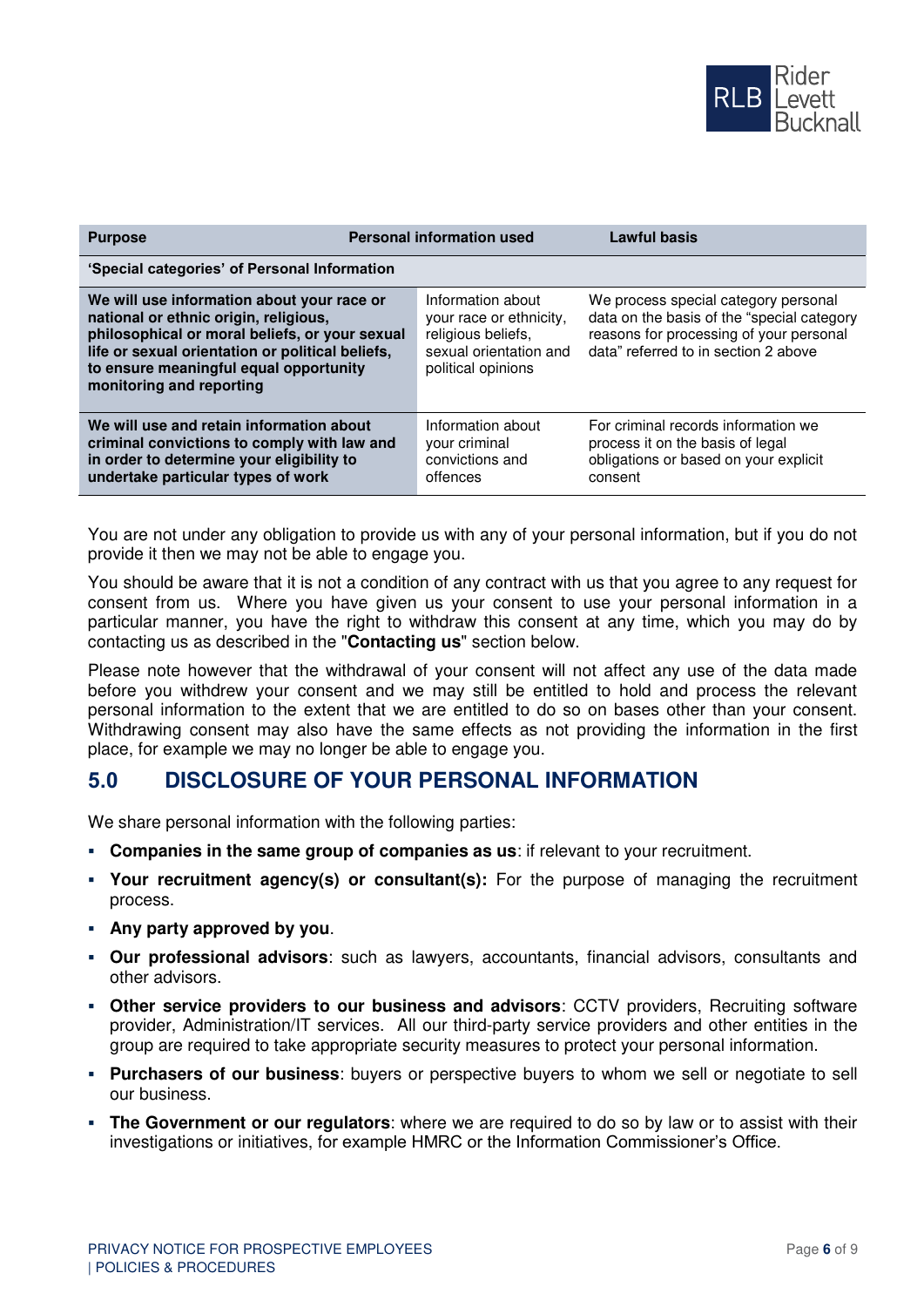

| <b>Purpose</b>                                                                                                                                                                                                                                                  | <b>Personal information used</b> |                                                                                                                    | <b>Lawful basis</b>                                                                                                                                                   |  |  |
|-----------------------------------------------------------------------------------------------------------------------------------------------------------------------------------------------------------------------------------------------------------------|----------------------------------|--------------------------------------------------------------------------------------------------------------------|-----------------------------------------------------------------------------------------------------------------------------------------------------------------------|--|--|
| 'Special categories' of Personal Information                                                                                                                                                                                                                    |                                  |                                                                                                                    |                                                                                                                                                                       |  |  |
| We will use information about your race or<br>national or ethnic origin, religious,<br>philosophical or moral beliefs, or your sexual<br>life or sexual orientation or political beliefs,<br>to ensure meaningful equal opportunity<br>monitoring and reporting |                                  | Information about<br>your race or ethnicity,<br>religious beliefs,<br>sexual orientation and<br>political opinions | We process special category personal<br>data on the basis of the "special category<br>reasons for processing of your personal<br>data" referred to in section 2 above |  |  |
| We will use and retain information about<br>criminal convictions to comply with law and<br>in order to determine your eligibility to<br>undertake particular types of work                                                                                      |                                  | Information about<br>your criminal<br>convictions and<br>offences                                                  | For criminal records information we<br>process it on the basis of legal<br>obligations or based on your explicit<br>consent                                           |  |  |

You are not under any obligation to provide us with any of your personal information, but if you do not provide it then we may not be able to engage you.

You should be aware that it is not a condition of any contract with us that you agree to any request for consent from us. Where you have given us your consent to use your personal information in a particular manner, you have the right to withdraw this consent at any time, which you may do by contacting us as described in the "**Contacting us**" section below.

Please note however that the withdrawal of your consent will not affect any use of the data made before you withdrew your consent and we may still be entitled to hold and process the relevant personal information to the extent that we are entitled to do so on bases other than your consent. Withdrawing consent may also have the same effects as not providing the information in the first place, for example we may no longer be able to engage you.

#### **5.0 DISCLOSURE OF YOUR PERSONAL INFORMATION**

We share personal information with the following parties:

- **Companies in the same group of companies as us**: if relevant to your recruitment.
- **Your recruitment agency(s) or consultant(s):** For the purpose of managing the recruitment process.
- **Any party approved by you**.
- **Our professional advisors**: such as lawyers, accountants, financial advisors, consultants and other advisors.
- **Other service providers to our business and advisors**: CCTV providers, Recruiting software provider, Administration/IT services. All our third-party service providers and other entities in the group are required to take appropriate security measures to protect your personal information.
- **Purchasers of our business**: buyers or perspective buyers to whom we sell or negotiate to sell our business.
- **.** The Government or our regulators: where we are required to do so by law or to assist with their investigations or initiatives, for example HMRC or the Information Commissioner's Office.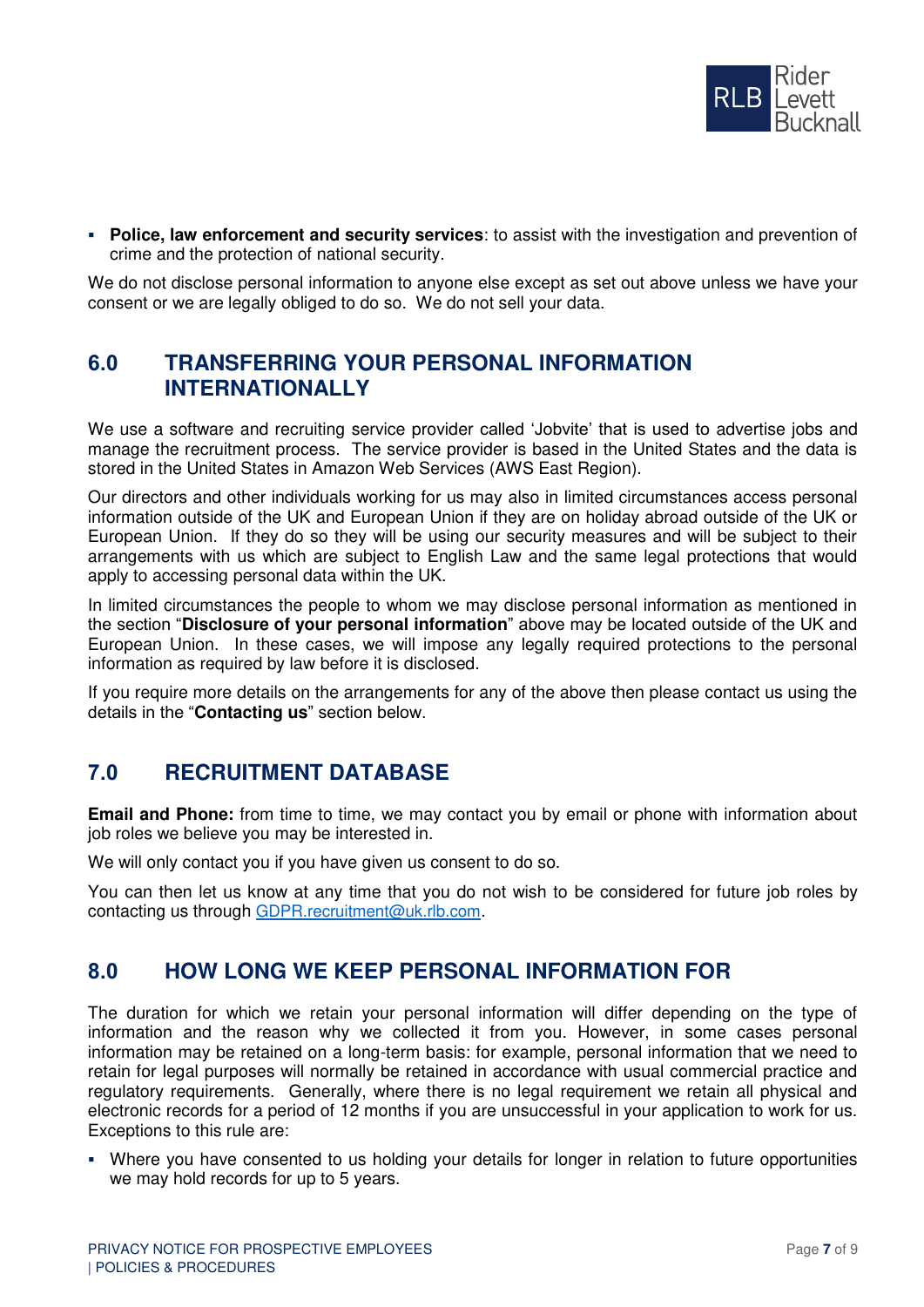

▪ **Police, law enforcement and security services**: to assist with the investigation and prevention of crime and the protection of national security.

We do not disclose personal information to anyone else except as set out above unless we have your consent or we are legally obliged to do so. We do not sell your data.

### **6.0 TRANSFERRING YOUR PERSONAL INFORMATION INTERNATIONALLY**

We use a software and recruiting service provider called 'Jobvite' that is used to advertise jobs and manage the recruitment process. The service provider is based in the United States and the data is stored in the United States in Amazon Web Services (AWS East Region).

Our directors and other individuals working for us may also in limited circumstances access personal information outside of the UK and European Union if they are on holiday abroad outside of the UK or European Union. If they do so they will be using our security measures and will be subject to their arrangements with us which are subject to English Law and the same legal protections that would apply to accessing personal data within the UK.

In limited circumstances the people to whom we may disclose personal information as mentioned in the section "**Disclosure of your personal information**" above may be located outside of the UK and European Union. In these cases, we will impose any legally required protections to the personal information as required by law before it is disclosed.

If you require more details on the arrangements for any of the above then please contact us using the details in the "**Contacting us**" section below.

#### **7.0 RECRUITMENT DATABASE**

**Email and Phone:** from time to time, we may contact you by email or phone with information about job roles we believe you may be interested in.

We will only contact you if you have given us consent to do so.

You can then let us know at any time that you do not wish to be considered for future job roles by contacting us through [GDPR.recruitment@uk.rlb.com](mailto:GDPR.recruitment@uk.rlb.com).

#### **8.0 HOW LONG WE KEEP PERSONAL INFORMATION FOR**

The duration for which we retain your personal information will differ depending on the type of information and the reason why we collected it from you. However, in some cases personal information may be retained on a long-term basis: for example, personal information that we need to retain for legal purposes will normally be retained in accordance with usual commercial practice and regulatory requirements. Generally, where there is no legal requirement we retain all physical and electronic records for a period of 12 months if you are unsuccessful in your application to work for us. Exceptions to this rule are:

▪ Where you have consented to us holding your details for longer in relation to future opportunities we may hold records for up to 5 years.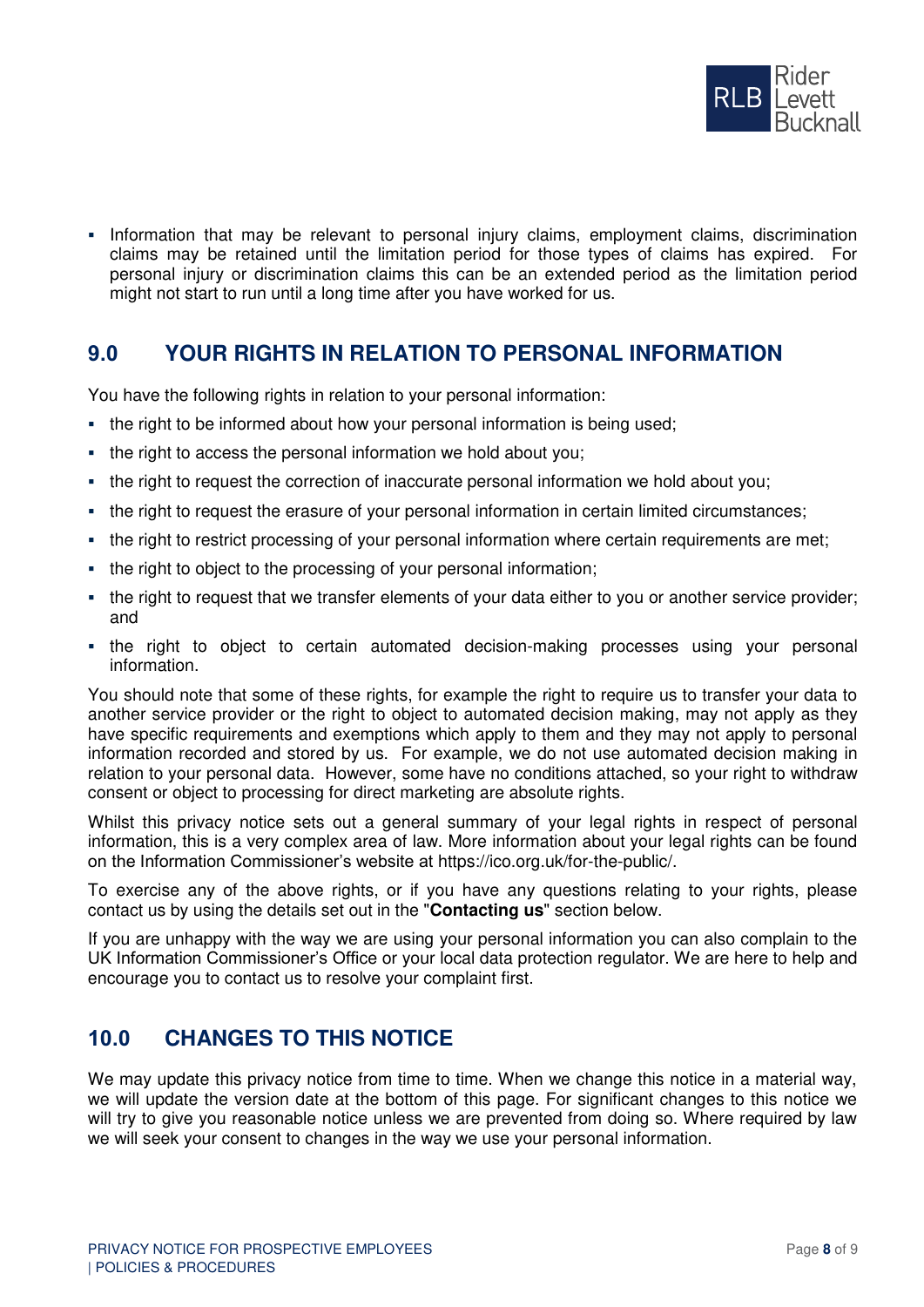

▪ Information that may be relevant to personal injury claims, employment claims, discrimination claims may be retained until the limitation period for those types of claims has expired. For personal injury or discrimination claims this can be an extended period as the limitation period might not start to run until a long time after you have worked for us.

# **9.0 YOUR RIGHTS IN RELATION TO PERSONAL INFORMATION**

You have the following rights in relation to your personal information:

- the right to be informed about how your personal information is being used;
- the right to access the personal information we hold about you;
- the right to request the correction of inaccurate personal information we hold about you;
- the right to request the erasure of your personal information in certain limited circumstances;
- the right to restrict processing of your personal information where certain requirements are met;
- the right to object to the processing of your personal information;
- the right to request that we transfer elements of your data either to you or another service provider; and
- the right to object to certain automated decision-making processes using your personal information.

You should note that some of these rights, for example the right to require us to transfer your data to another service provider or the right to object to automated decision making, may not apply as they have specific requirements and exemptions which apply to them and they may not apply to personal information recorded and stored by us. For example, we do not use automated decision making in relation to your personal data. However, some have no conditions attached, so your right to withdraw consent or object to processing for direct marketing are absolute rights.

Whilst this privacy notice sets out a general summary of your legal rights in respect of personal information, this is a very complex area of law. More information about your legal rights can be found on the Information Commissioner's website at https://ico.org.uk/for-the-public/.

To exercise any of the above rights, or if you have any questions relating to your rights, please contact us by using the details set out in the "**Contacting us**" section below.

If you are unhappy with the way we are using your personal information you can also complain to the UK Information Commissioner's Office or your local data protection regulator. We are here to help and encourage you to contact us to resolve your complaint first.

# **10.0 CHANGES TO THIS NOTICE**

We may update this privacy notice from time to time. When we change this notice in a material way, we will update the version date at the bottom of this page. For significant changes to this notice we will try to give you reasonable notice unless we are prevented from doing so. Where required by law we will seek your consent to changes in the way we use your personal information.